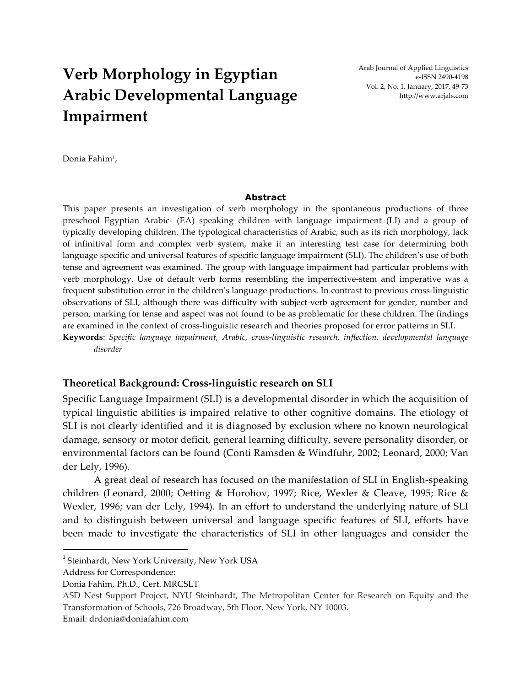# **Verb Morphology in Egyptian Arabic Developmental Language Impairment**

Arab Journal of Applied Linguistics e-ISSN 2490-4198 Vol. 2, No. 1, January, 2017, 49-73 http://www.arjals.com

Donia Fahim1,

#### **Abstract**

This paper presents an investigation of verb morphology in the spontaneous productions of three preschool Egyptian Arabic- (EA) speaking children with language impairment (LI) and a group of typically developing children. The typological characteristics of Arabic, such as its rich morphology, lack of infinitival form and complex verb system, make it an interesting test case for determining both language specific and universal features of specific language impairment (SLI). The children's use of both tense and agreement was examined. The group with language impairment had particular problems with verb morphology. Use of default verb forms resembling the imperfective-stem and imperative was a frequent substitution error in the children's language productions. In contrast to previous cross-linguistic observations of SLI, although there was difficulty with subject-verb agreement for gender, number and person, marking for tense and aspect was not found to be as problematic for these children. The findings are examined in the context of cross-linguistic research and theories proposed for error patterns in SLI. **Keywords**: *Specific language impairment, Arabic, cross-linguistic research, inflection, developmental language* 

*disorder*

#### **Theoretical Background: Cross-linguistic research on SLI**

Specific Language Impairment (SLI) is a developmental disorder in which the acquisition of typical linguistic abilities is impaired relative to other cognitive domains. The etiology of SLI is not clearly identified and it is diagnosed by exclusion where no known neurological damage, sensory or motor deficit, general learning difficulty, severe personality disorder, or environmental factors can be found (Conti Ramsden & Windfuhr, 2002; Leonard, 2000; Van der Lely, 1996).

A great deal of research has focused on the manifestation of SLI in English-speaking children (Leonard, 2000; Oetting & Horohov, 1997; Rice, Wexler & Cleave, 1995; Rice & Wexler, 1996; van der Lely, 1994). In an effort to understand the underlying nature of SLI and to distinguish between universal and language specific features of SLI, efforts have been made to investigate the characteristics of SLI in other languages and consider the

<u>.</u>

<sup>&</sup>lt;sup>1</sup> Steinhardt, New York University, New York USA

Address for Correspondence:

Donia Fahim, Ph.D., Cert. MRCSLT

ASD Nest Support Project, NYU Steinhardt, The Metropolitan Center for Research on Equity and the Transformation of Schools, 726 Broadway, 5th Floor, New York, NY 10003.

Email: drdonia@doniafahim.com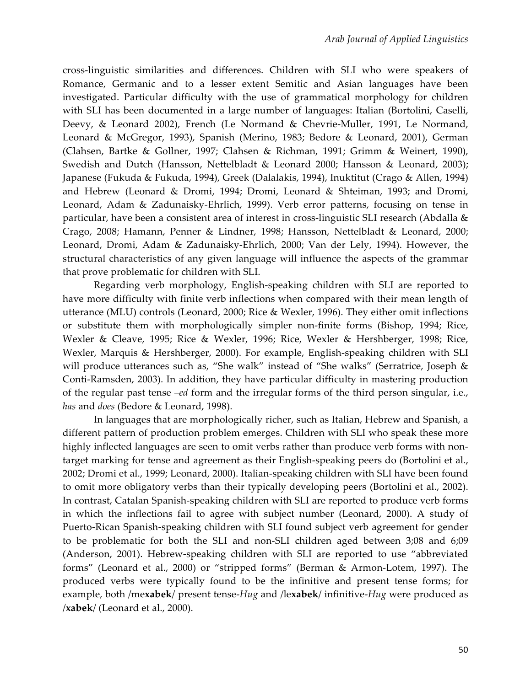cross-linguistic similarities and differences. Children with SLI who were speakers of Romance, Germanic and to a lesser extent Semitic and Asian languages have been investigated. Particular difficulty with the use of grammatical morphology for children with SLI has been documented in a large number of languages: Italian (Bortolini, Caselli, Deevy, & Leonard 2002), French (Le Normand & Chevrie-Muller, 1991, Le Normand, Leonard & McGregor, 1993), Spanish (Merino, 1983; Bedore & Leonard, 2001), German (Clahsen, Bartke & Gollner, 1997; Clahsen & Richman, 1991; Grimm & Weinert, 1990), Swedish and Dutch (Hansson, Nettelbladt & Leonard 2000; Hansson & Leonard, 2003); Japanese (Fukuda & Fukuda, 1994), Greek (Dalalakis, 1994), Inuktitut (Crago & Allen, 1994) and Hebrew (Leonard & Dromi, 1994; Dromi, Leonard & Shteiman, 1993; and Dromi, Leonard, Adam & Zadunaisky-Ehrlich, 1999). Verb error patterns, focusing on tense in particular, have been a consistent area of interest in cross-linguistic SLI research (Abdalla & Crago, 2008; Hamann, Penner & Lindner, 1998; Hansson, Nettelbladt & Leonard, 2000; Leonard, Dromi, Adam & Zadunaisky-Ehrlich, 2000; Van der Lely, 1994). However, the structural characteristics of any given language will influence the aspects of the grammar that prove problematic for children with SLI.

Regarding verb morphology, English-speaking children with SLI are reported to have more difficulty with finite verb inflections when compared with their mean length of utterance (MLU) controls (Leonard, 2000; Rice & Wexler, 1996). They either omit inflections or substitute them with morphologically simpler non-finite forms (Bishop, 1994; Rice, Wexler & Cleave, 1995; Rice & Wexler, 1996; Rice, Wexler & Hershberger, 1998; Rice, Wexler, Marquis & Hershberger, 2000). For example, English-speaking children with SLI will produce utterances such as, "She walk" instead of "She walks" (Serratrice, Joseph & Conti-Ramsden, 2003). In addition, they have particular difficulty in mastering production of the regular past tense *–ed* form and the irregular forms of the third person singular, i.e., *has* and *does* (Bedore & Leonard, 1998).

In languages that are morphologically richer, such as Italian, Hebrew and Spanish, a different pattern of production problem emerges. Children with SLI who speak these more highly inflected languages are seen to omit verbs rather than produce verb forms with nontarget marking for tense and agreement as their English-speaking peers do (Bortolini et al., 2002; Dromi et al., 1999; Leonard, 2000). Italian-speaking children with SLI have been found to omit more obligatory verbs than their typically developing peers (Bortolini et al., 2002). In contrast, Catalan Spanish-speaking children with SLI are reported to produce verb forms in which the inflections fail to agree with subject number (Leonard, 2000). A study of Puerto-Rican Spanish-speaking children with SLI found subject verb agreement for gender to be problematic for both the SLI and non-SLI children aged between 3;08 and 6;09 (Anderson, 2001). Hebrew-speaking children with SLI are reported to use "abbreviated forms" (Leonard et al., 2000) or "stripped forms" (Berman & Armon-Lotem, 1997). The produced verbs were typically found to be the infinitive and present tense forms; for example, both /me**xabek**/ present tense-*Hug* and /le**xabek**/ infinitive-*Hug* were produced as /**xabek**/ (Leonard et al., 2000).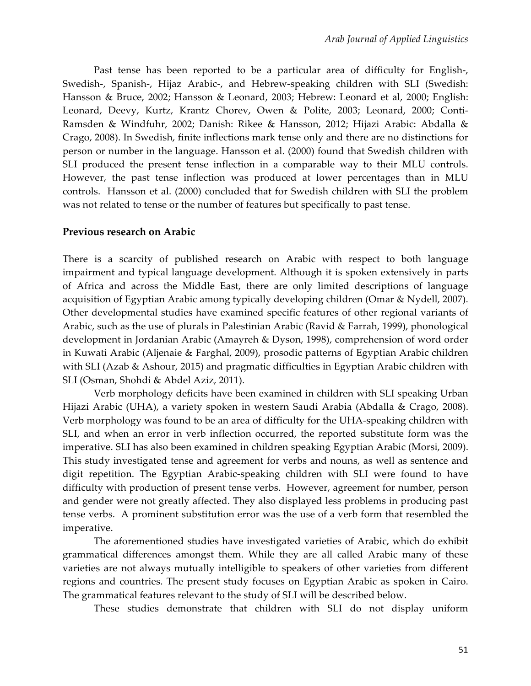Past tense has been reported to be a particular area of difficulty for English-, Swedish-, Spanish-, Hijaz Arabic-, and Hebrew-speaking children with SLI (Swedish: Hansson & Bruce, 2002; Hansson & Leonard, 2003; Hebrew: Leonard et al, 2000; English: Leonard, Deevy, Kurtz, Krantz Chorev, Owen & Polite, 2003; Leonard, 2000; Conti-Ramsden & Windfuhr, 2002; Danish: Rikee & Hansson, 2012; Hijazi Arabic: Abdalla & Crago, 2008). In Swedish, finite inflections mark tense only and there are no distinctions for person or number in the language. Hansson et al. (2000) found that Swedish children with SLI produced the present tense inflection in a comparable way to their MLU controls. However, the past tense inflection was produced at lower percentages than in MLU controls. Hansson et al. (2000) concluded that for Swedish children with SLI the problem was not related to tense or the number of features but specifically to past tense.

#### **Previous research on Arabic**

There is a scarcity of published research on Arabic with respect to both language impairment and typical language development. Although it is spoken extensively in parts of Africa and across the Middle East, there are only limited descriptions of language acquisition of Egyptian Arabic among typically developing children (Omar & Nydell, 2007). Other developmental studies have examined specific features of other regional variants of Arabic, such as the use of plurals in Palestinian Arabic (Ravid & Farrah, 1999), phonological development in Jordanian Arabic (Amayreh & Dyson, 1998), comprehension of word order in Kuwati Arabic (Aljenaie & Farghal, 2009), prosodic patterns of Egyptian Arabic children with SLI (Azab & Ashour, 2015) and pragmatic difficulties in Egyptian Arabic children with SLI (Osman, Shohdi & Abdel Aziz, 2011).

Verb morphology deficits have been examined in children with SLI speaking Urban Hijazi Arabic (UHA), a variety spoken in western Saudi Arabia (Abdalla & Crago, 2008). Verb morphology was found to be an area of difficulty for the UHA-speaking children with SLI, and when an error in verb inflection occurred, the reported substitute form was the imperative. SLI has also been examined in children speaking Egyptian Arabic (Morsi, 2009). This study investigated tense and agreement for verbs and nouns, as well as sentence and digit repetition. The Egyptian Arabic-speaking children with SLI were found to have difficulty with production of present tense verbs. However, agreement for number, person and gender were not greatly affected. They also displayed less problems in producing past tense verbs. A prominent substitution error was the use of a verb form that resembled the imperative.

The aforementioned studies have investigated varieties of Arabic, which do exhibit grammatical differences amongst them. While they are all called Arabic many of these varieties are not always mutually intelligible to speakers of other varieties from different regions and countries. The present study focuses on Egyptian Arabic as spoken in Cairo. The grammatical features relevant to the study of SLI will be described below.

These studies demonstrate that children with SLI do not display uniform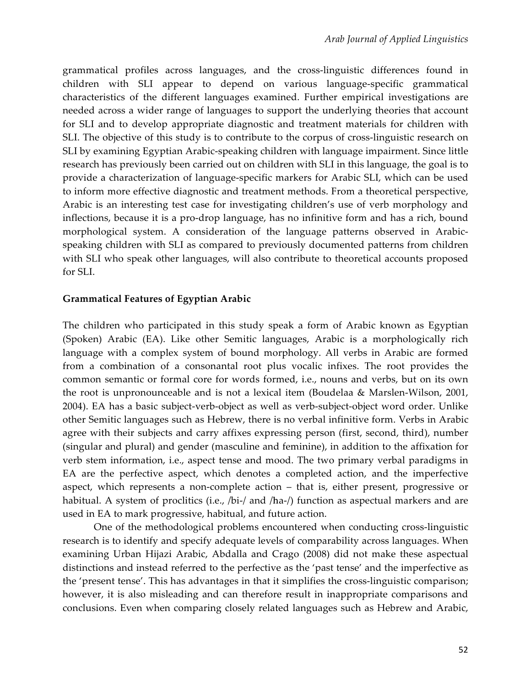grammatical profiles across languages, and the cross-linguistic differences found in children with SLI appear to depend on various language-specific grammatical characteristics of the different languages examined. Further empirical investigations are needed across a wider range of languages to support the underlying theories that account for SLI and to develop appropriate diagnostic and treatment materials for children with SLI. The objective of this study is to contribute to the corpus of cross-linguistic research on SLI by examining Egyptian Arabic-speaking children with language impairment. Since little research has previously been carried out on children with SLI in this language, the goal is to provide a characterization of language-specific markers for Arabic SLI, which can be used to inform more effective diagnostic and treatment methods. From a theoretical perspective, Arabic is an interesting test case for investigating children's use of verb morphology and inflections, because it is a pro-drop language, has no infinitive form and has a rich, bound morphological system. A consideration of the language patterns observed in Arabicspeaking children with SLI as compared to previously documented patterns from children with SLI who speak other languages, will also contribute to theoretical accounts proposed for SLI.

## **Grammatical Features of Egyptian Arabic**

The children who participated in this study speak a form of Arabic known as Egyptian (Spoken) Arabic (EA). Like other Semitic languages, Arabic is a morphologically rich language with a complex system of bound morphology. All verbs in Arabic are formed from a combination of a consonantal root plus vocalic infixes. The root provides the common semantic or formal core for words formed, i.e., nouns and verbs, but on its own the root is unpronounceable and is not a lexical item (Boudelaa & Marslen-Wilson, 2001, 2004). EA has a basic subject-verb-object as well as verb-subject-object word order. Unlike other Semitic languages such as Hebrew, there is no verbal infinitive form. Verbs in Arabic agree with their subjects and carry affixes expressing person (first, second, third), number (singular and plural) and gender (masculine and feminine), in addition to the affixation for verb stem information, i.e., aspect tense and mood. The two primary verbal paradigms in EA are the perfective aspect, which denotes a completed action, and the imperfective aspect, which represents a non-complete action – that is, either present, progressive or habitual. A system of proclitics (i.e., /bi-/ and /ha-/) function as aspectual markers and are used in EA to mark progressive, habitual, and future action.

One of the methodological problems encountered when conducting cross-linguistic research is to identify and specify adequate levels of comparability across languages. When examining Urban Hijazi Arabic, Abdalla and Crago (2008) did not make these aspectual distinctions and instead referred to the perfective as the 'past tense' and the imperfective as the 'present tense'. This has advantages in that it simplifies the cross-linguistic comparison; however, it is also misleading and can therefore result in inappropriate comparisons and conclusions. Even when comparing closely related languages such as Hebrew and Arabic,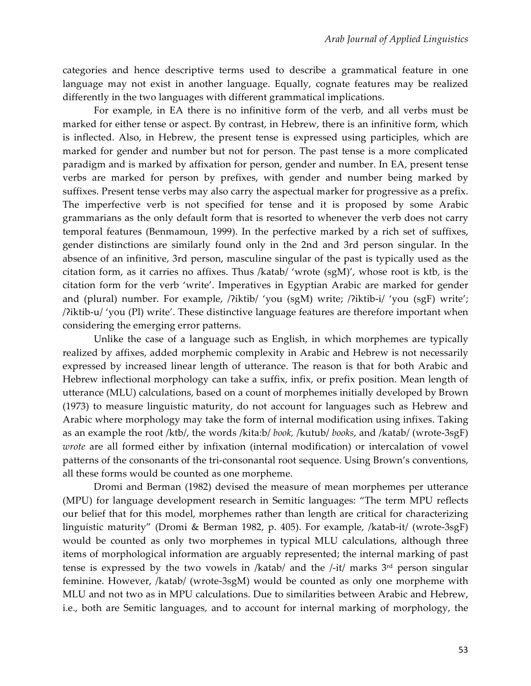categories and hence descriptive terms used to describe a grammatical feature in one language may not exist in another language. Equally, cognate features may be realized differently in the two languages with different grammatical implications.

For example, in EA there is no infinitive form of the verb, and all verbs must be marked for either tense or aspect. By contrast, in Hebrew, there is an infinitive form, which is inflected. Also, in Hebrew, the present tense is expressed using participles, which are marked for gender and number but not for person. The past tense is a more complicated paradigm and is marked by affixation for person, gender and number. In EA, present tense verbs are marked for person by prefixes, with gender and number being marked by suffixes. Present tense verbs may also carry the aspectual marker for progressive as a prefix. The imperfective verb is not specified for tense and it is proposed by some Arabic grammarians as the only default form that is resorted to whenever the verb does not carry temporal features (Benmamoun, 1999). In the perfective marked by a rich set of suffixes, gender distinctions are similarly found only in the 2nd and 3rd person singular. In the absence of an infinitive, 3rd person, masculine singular of the past is typically used as the citation form, as it carries no affixes. Thus /katab/ 'wrote (sgM)', whose root is ktb, is the citation form for the verb 'write'. Imperatives in Egyptian Arabic are marked for gender and (plural) number. For example, /ʔiktib/ 'you (sgM) write; /ʔiktib-i/ 'you (sgF) write'; /ʔiktib-u/ 'you (Pl) write'. These distinctive language features are therefore important when considering the emerging error patterns.

Unlike the case of a language such as English, in which morphemes are typically realized by affixes, added morphemic complexity in Arabic and Hebrew is not necessarily expressed by increased linear length of utterance. The reason is that for both Arabic and Hebrew inflectional morphology can take a suffix, infix, or prefix position. Mean length of utterance (MLU) calculations, based on a count of morphemes initially developed by Brown (1973) to measure linguistic maturity, do not account for languages such as Hebrew and Arabic where morphology may take the form of internal modification using infixes. Taking as an example the root /ktb/, the words /kita:b/ *book,* /kutub/ *books*, and /katab/ (wrote-3sgF) *wrote* are all formed either by infixation (internal modification) or intercalation of vowel patterns of the consonants of the tri-consonantal root sequence. Using Brown's conventions, all these forms would be counted as one morpheme.

Dromi and Berman (1982) devised the measure of mean morphemes per utterance (MPU) for language development research in Semitic languages: "The term MPU reflects our belief that for this model, morphemes rather than length are critical for characterizing linguistic maturity" (Dromi & Berman 1982, p. 405). For example, /katab-it/ (wrote-3sgF) would be counted as only two morphemes in typical MLU calculations, although three items of morphological information are arguably represented; the internal marking of past tense is expressed by the two vowels in /katab/ and the /-it/ marks 3<sup>rd</sup> person singular feminine. However, /katab/ (wrote-3sgM) would be counted as only one morpheme with MLU and not two as in MPU calculations. Due to similarities between Arabic and Hebrew, i.e., both are Semitic languages, and to account for internal marking of morphology, the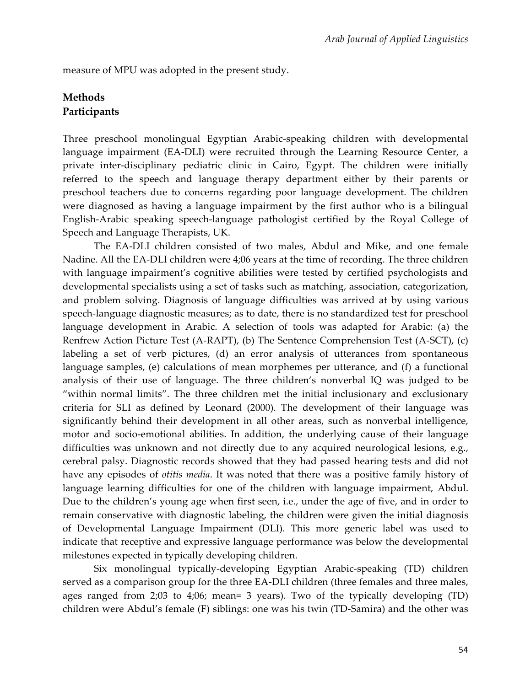measure of MPU was adopted in the present study.

## **Methods Participants**

Three preschool monolingual Egyptian Arabic-speaking children with developmental language impairment (EA-DLI) were recruited through the Learning Resource Center, a private inter-disciplinary pediatric clinic in Cairo, Egypt. The children were initially referred to the speech and language therapy department either by their parents or preschool teachers due to concerns regarding poor language development. The children were diagnosed as having a language impairment by the first author who is a bilingual English-Arabic speaking speech-language pathologist certified by the Royal College of Speech and Language Therapists, UK.

The EA-DLI children consisted of two males, Abdul and Mike, and one female Nadine. All the EA-DLI children were 4;06 years at the time of recording. The three children with language impairment's cognitive abilities were tested by certified psychologists and developmental specialists using a set of tasks such as matching, association, categorization, and problem solving. Diagnosis of language difficulties was arrived at by using various speech-language diagnostic measures; as to date, there is no standardized test for preschool language development in Arabic. A selection of tools was adapted for Arabic: (a) the Renfrew Action Picture Test (A-RAPT), (b) The Sentence Comprehension Test (A-SCT), (c) labeling a set of verb pictures, (d) an error analysis of utterances from spontaneous language samples, (e) calculations of mean morphemes per utterance, and (f) a functional analysis of their use of language. The three children's nonverbal IQ was judged to be "within normal limits". The three children met the initial inclusionary and exclusionary criteria for SLI as defined by Leonard (2000). The development of their language was significantly behind their development in all other areas, such as nonverbal intelligence, motor and socio-emotional abilities. In addition, the underlying cause of their language difficulties was unknown and not directly due to any acquired neurological lesions, e.g., cerebral palsy. Diagnostic records showed that they had passed hearing tests and did not have any episodes of *otitis media*. It was noted that there was a positive family history of language learning difficulties for one of the children with language impairment, Abdul. Due to the children's young age when first seen, i.e., under the age of five, and in order to remain conservative with diagnostic labeling, the children were given the initial diagnosis of Developmental Language Impairment (DLI). This more generic label was used to indicate that receptive and expressive language performance was below the developmental milestones expected in typically developing children.

Six monolingual typically-developing Egyptian Arabic-speaking (TD) children served as a comparison group for the three EA-DLI children (three females and three males, ages ranged from 2;03 to 4;06; mean= 3 years). Two of the typically developing (TD) children were Abdul's female (F) siblings: one was his twin (TD-Samira) and the other was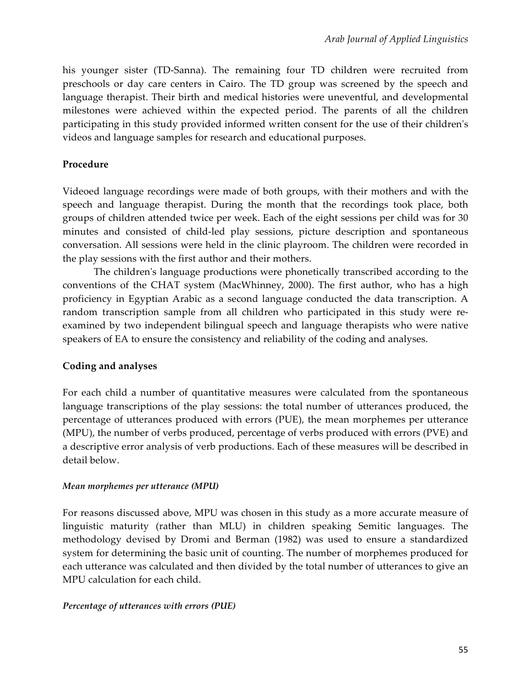his younger sister (TD-Sanna). The remaining four TD children were recruited from preschools or day care centers in Cairo. The TD group was screened by the speech and language therapist. Their birth and medical histories were uneventful, and developmental milestones were achieved within the expected period. The parents of all the children participating in this study provided informed written consent for the use of their children's videos and language samples for research and educational purposes.

## **Procedure**

Videoed language recordings were made of both groups, with their mothers and with the speech and language therapist. During the month that the recordings took place, both groups of children attended twice per week. Each of the eight sessions per child was for 30 minutes and consisted of child-led play sessions, picture description and spontaneous conversation. All sessions were held in the clinic playroom. The children were recorded in the play sessions with the first author and their mothers.

The children's language productions were phonetically transcribed according to the conventions of the CHAT system (MacWhinney, 2000). The first author, who has a high proficiency in Egyptian Arabic as a second language conducted the data transcription. A random transcription sample from all children who participated in this study were reexamined by two independent bilingual speech and language therapists who were native speakers of EA to ensure the consistency and reliability of the coding and analyses.

## **Coding and analyses**

For each child a number of quantitative measures were calculated from the spontaneous language transcriptions of the play sessions: the total number of utterances produced, the percentage of utterances produced with errors (PUE), the mean morphemes per utterance (MPU), the number of verbs produced, percentage of verbs produced with errors (PVE) and a descriptive error analysis of verb productions. Each of these measures will be described in detail below.

## *Mean morphemes per utterance (MPU)*

For reasons discussed above, MPU was chosen in this study as a more accurate measure of linguistic maturity (rather than MLU) in children speaking Semitic languages. The methodology devised by Dromi and Berman (1982) was used to ensure a standardized system for determining the basic unit of counting. The number of morphemes produced for each utterance was calculated and then divided by the total number of utterances to give an MPU calculation for each child.

## *Percentage of utterances with errors (PUE)*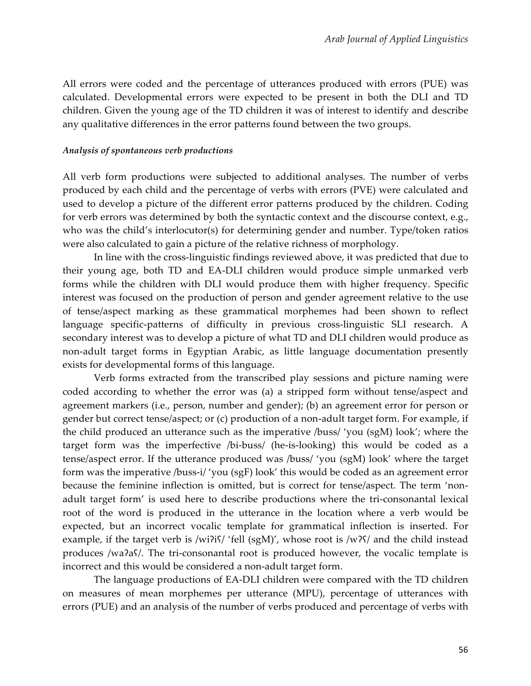All errors were coded and the percentage of utterances produced with errors (PUE) was calculated. Developmental errors were expected to be present in both the DLI and TD children. Given the young age of the TD children it was of interest to identify and describe any qualitative differences in the error patterns found between the two groups.

#### *Analysis of spontaneous verb productions*

All verb form productions were subjected to additional analyses. The number of verbs produced by each child and the percentage of verbs with errors (PVE) were calculated and used to develop a picture of the different error patterns produced by the children. Coding for verb errors was determined by both the syntactic context and the discourse context, e.g., who was the child's interlocutor(s) for determining gender and number. Type/token ratios were also calculated to gain a picture of the relative richness of morphology.

In line with the cross-linguistic findings reviewed above, it was predicted that due to their young age, both TD and EA-DLI children would produce simple unmarked verb forms while the children with DLI would produce them with higher frequency. Specific interest was focused on the production of person and gender agreement relative to the use of tense/aspect marking as these grammatical morphemes had been shown to reflect language specific-patterns of difficulty in previous cross-linguistic SLI research. A secondary interest was to develop a picture of what TD and DLI children would produce as non-adult target forms in Egyptian Arabic, as little language documentation presently exists for developmental forms of this language.

Verb forms extracted from the transcribed play sessions and picture naming were coded according to whether the error was (a) a stripped form without tense/aspect and agreement markers (i.e., person, number and gender); (b) an agreement error for person or gender but correct tense/aspect; or (c) production of a non-adult target form. For example, if the child produced an utterance such as the imperative /buss/ 'you (sgM) look'; where the target form was the imperfective /bi-buss/ (he-is-looking) this would be coded as a tense/aspect error. If the utterance produced was /buss/ 'you (sgM) look' where the target form was the imperative /buss-i/ 'you (sgF) look' this would be coded as an agreement error because the feminine inflection is omitted, but is correct for tense/aspect. The term 'nonadult target form' is used here to describe productions where the tri-consonantal lexical root of the word is produced in the utterance in the location where a verb would be expected, but an incorrect vocalic template for grammatical inflection is inserted. For example, if the target verb is /wiʔiʕ/ 'fell (sgM)', whose root is /wʔʕ/ and the child instead produces /waʔaʕ/. The tri-consonantal root is produced however, the vocalic template is incorrect and this would be considered a non-adult target form.

The language productions of EA-DLI children were compared with the TD children on measures of mean morphemes per utterance (MPU), percentage of utterances with errors (PUE) and an analysis of the number of verbs produced and percentage of verbs with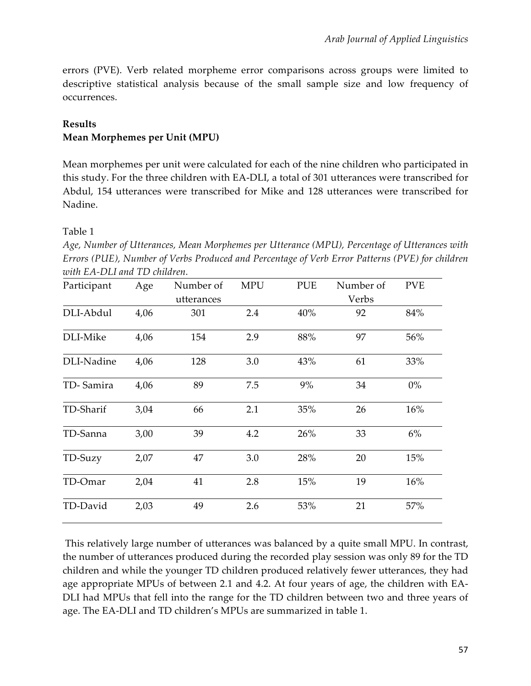errors (PVE). Verb related morpheme error comparisons across groups were limited to descriptive statistical analysis because of the small sample size and low frequency of occurrences.

## **Results**

## **Mean Morphemes per Unit (MPU)**

Mean morphemes per unit were calculated for each of the nine children who participated in this study. For the three children with EA-DLI, a total of 301 utterances were transcribed for Abdul, 154 utterances were transcribed for Mike and 128 utterances were transcribed for Nadine.

## Table 1

*Age, Number of Utterances, Mean Morphemes per Utterance (MPU), Percentage of Utterances with Errors (PUE), Number of Verbs Produced and Percentage of Verb Error Patterns (PVE) for children with EA-DLI and TD children.*

| Participant | Age  | Number of  | <b>MPU</b> | <b>PUE</b> | Number of | <b>PVE</b> |
|-------------|------|------------|------------|------------|-----------|------------|
|             |      | utterances |            |            | Verbs     |            |
| DLI-Abdul   | 4,06 | 301        | 2.4        | 40%        | 92        | 84%        |
| DLI-Mike    | 4,06 | 154        | 2.9        | 88%        | 97        | 56%        |
| DLI-Nadine  | 4,06 | 128        | 3.0        | 43%        | 61        | 33%        |
| TD-Samira   | 4,06 | 89         | 7.5        | 9%         | 34        | $0\%$      |
| TD-Sharif   | 3,04 | 66         | 2.1        | 35%        | 26        | 16%        |
| TD-Sanna    | 3,00 | 39         | 4.2        | 26%        | 33        | 6%         |
| TD-Suzy     | 2,07 | 47         | 3.0        | 28%        | 20        | 15%        |
| TD-Omar     | 2,04 | 41         | 2.8        | 15%        | 19        | 16%        |
| TD-David    | 2,03 | 49         | 2.6        | 53%        | 21        | 57%        |

This relatively large number of utterances was balanced by a quite small MPU. In contrast, the number of utterances produced during the recorded play session was only 89 for the TD children and while the younger TD children produced relatively fewer utterances, they had age appropriate MPUs of between 2.1 and 4.2. At four years of age, the children with EA-DLI had MPUs that fell into the range for the TD children between two and three years of age. The EA-DLI and TD children's MPUs are summarized in table 1.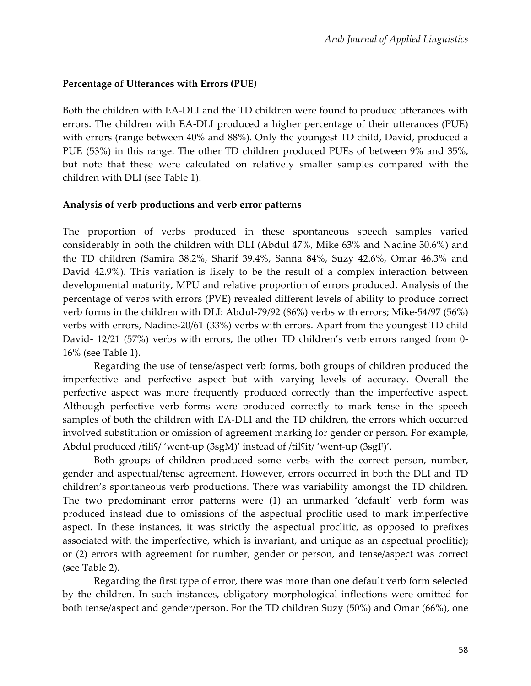## **Percentage of Utterances with Errors (PUE)**

Both the children with EA-DLI and the TD children were found to produce utterances with errors. The children with EA-DLI produced a higher percentage of their utterances (PUE) with errors (range between 40% and 88%). Only the youngest TD child, David, produced a PUE (53%) in this range. The other TD children produced PUEs of between 9% and 35%, but note that these were calculated on relatively smaller samples compared with the children with DLI (see Table 1).

## **Analysis of verb productions and verb error patterns**

The proportion of verbs produced in these spontaneous speech samples varied considerably in both the children with DLI (Abdul 47%, Mike 63% and Nadine 30.6%) and the TD children (Samira 38.2%, Sharif 39.4%, Sanna 84%, Suzy 42.6%, Omar 46.3% and David 42.9%). This variation is likely to be the result of a complex interaction between developmental maturity, MPU and relative proportion of errors produced. Analysis of the percentage of verbs with errors (PVE) revealed different levels of ability to produce correct verb forms in the children with DLI: Abdul-79/92 (86%) verbs with errors; Mike-54/97 (56%) verbs with errors, Nadine-20/61 (33%) verbs with errors. Apart from the youngest TD child David- 12/21 (57%) verbs with errors, the other TD children's verb errors ranged from 0- 16% (see Table 1).

Regarding the use of tense/aspect verb forms, both groups of children produced the imperfective and perfective aspect but with varying levels of accuracy. Overall the perfective aspect was more frequently produced correctly than the imperfective aspect. Although perfective verb forms were produced correctly to mark tense in the speech samples of both the children with EA-DLI and the TD children, the errors which occurred involved substitution or omission of agreement marking for gender or person. For example, Abdul produced /tiliʕ/ 'went-up (3sgM)' instead of /tilʕit/ 'went-up (3sgF)'.

Both groups of children produced some verbs with the correct person, number, gender and aspectual/tense agreement. However, errors occurred in both the DLI and TD children's spontaneous verb productions. There was variability amongst the TD children. The two predominant error patterns were (1) an unmarked 'default' verb form was produced instead due to omissions of the aspectual proclitic used to mark imperfective aspect. In these instances, it was strictly the aspectual proclitic, as opposed to prefixes associated with the imperfective, which is invariant, and unique as an aspectual proclitic); or (2) errors with agreement for number, gender or person, and tense/aspect was correct (see Table 2).

Regarding the first type of error, there was more than one default verb form selected by the children. In such instances, obligatory morphological inflections were omitted for both tense/aspect and gender/person. For the TD children Suzy (50%) and Omar (66%), one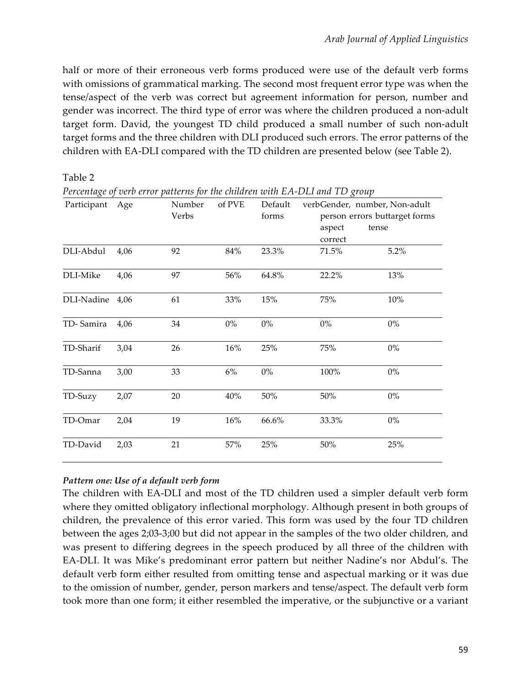half or more of their erroneous verb forms produced were use of the default verb forms with omissions of grammatical marking. The second most frequent error type was when the tense/aspect of the verb was correct but agreement information for person, number and gender was incorrect. The third type of error was where the children produced a non-adult target form. David, the youngest TD child produced a small number of such non-adult target forms and the three children with DLI produced such errors. The error patterns of the children with EA-DLI compared with the TD children are presented below (see Table 2).

| Percentage of verb error patterns for the children with EA-DLI and TD group |      |                 |        |                  |                   |                                                                |  |  |  |
|-----------------------------------------------------------------------------|------|-----------------|--------|------------------|-------------------|----------------------------------------------------------------|--|--|--|
| Participant                                                                 | Age  | Number<br>Verbs | of PVE | Default<br>forms |                   | verbGender, number, Non-adult<br>person errors buttarget forms |  |  |  |
|                                                                             |      |                 |        |                  | aspect<br>correct | tense                                                          |  |  |  |
| DLI-Abdul                                                                   | 4,06 | 92              | 84%    | 23.3%            | 71.5%             | 5.2%                                                           |  |  |  |
| DLI-Mike                                                                    | 4,06 | 97              | 56%    | 64.8%            | 22.2%             | 13%                                                            |  |  |  |
| DLI-Nadine 4,06                                                             |      | 61              | 33%    | 15%              | 75%               | $10\%$                                                         |  |  |  |
| TD-Samira                                                                   | 4,06 | 34              | $0\%$  | $0\%$            | $0\%$             | $0\%$                                                          |  |  |  |
| TD-Sharif                                                                   | 3,04 | 26              | 16%    | 25%              | 75%               | $0\%$                                                          |  |  |  |
| TD-Sanna                                                                    | 3,00 | 33              | $6\%$  | $0\%$            | 100%              | $0\%$                                                          |  |  |  |
| TD-Suzy                                                                     | 2,07 | 20              | 40%    | $50\%$           | $50\%$            | $0\%$                                                          |  |  |  |
| TD-Omar                                                                     | 2,04 | 19              | 16%    | 66.6%            | 33.3%             | $0\%$                                                          |  |  |  |
| TD-David                                                                    | 2,03 | 21              | 57%    | 25%              | 50%               | 25%                                                            |  |  |  |

Table 2

## *Pattern one: Use of a default verb form*

The children with EA-DLI and most of the TD children used a simpler default verb form where they omitted obligatory inflectional morphology. Although present in both groups of children, the prevalence of this error varied. This form was used by the four TD children between the ages 2;03-3;00 but did not appear in the samples of the two older children, and was present to differing degrees in the speech produced by all three of the children with EA-DLI. It was Mike's predominant error pattern but neither Nadine's nor Abdul's. The default verb form either resulted from omitting tense and aspectual marking or it was due to the omission of number, gender, person markers and tense/aspect. The default verb form took more than one form; it either resembled the imperative, or the subjunctive or a variant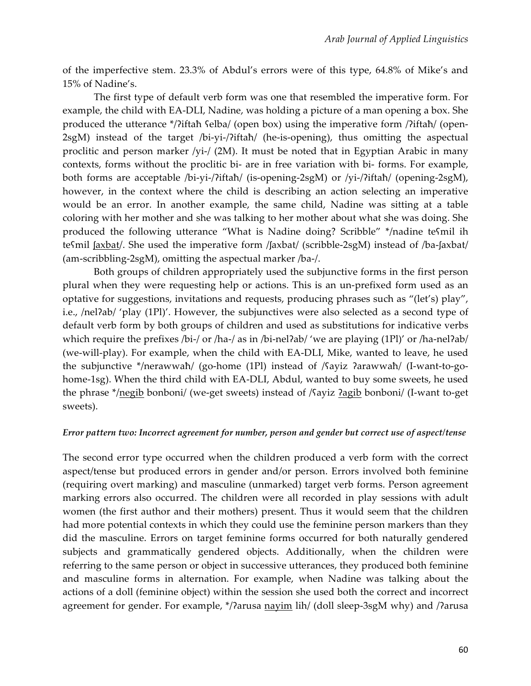of the imperfective stem. 23.3% of Abdul's errors were of this type, 64.8% of Mike's and 15% of Nadine's.

The first type of default verb form was one that resembled the imperative form. For example, the child with EA-DLI, Nadine, was holding a picture of a man opening a box. She produced the utterance \*/?iftaħ ʕelba/ (open box) using the imperative form /?iftaħ/ (open-2sgM) instead of the target /bi-yi-/?iftaħ/ (he-is-opening), thus omitting the aspectual proclitic and person marker /yi-/ (2M). It must be noted that in Egyptian Arabic in many contexts, forms without the proclitic bi- are in free variation with bi- forms. For example, both forms are acceptable /bi-yi-/ʔiftaħ/ (is-opening-2sgM) or /yi-/ʔiftaħ/ (opening-2sgM), however, in the context where the child is describing an action selecting an imperative would be an error. In another example, the same child, Nadine was sitting at a table coloring with her mother and she was talking to her mother about what she was doing. She produced the following utterance "What is Nadine doing? Scribble" \*/nadine teʕmil ih teʕmil ʃaxbat/. She used the imperative form /ʃaxbat/ (scribble-2sgM) instead of /ba-ʃaxbat/ (am-scribbling-2sgM), omitting the aspectual marker /ba-/.

Both groups of children appropriately used the subjunctive forms in the first person plural when they were requesting help or actions. This is an un-prefixed form used as an optative for suggestions, invitations and requests, producing phrases such as "(let's) play", i.e., /nel?ab/ 'play (1Pl)'. However, the subjunctives were also selected as a second type of default verb form by both groups of children and used as substitutions for indicative verbs which require the prefixes /bi-/ or /ha-/ as in /bi-nel?ab/ 'we are playing (1Pl)' or /ha-nel?ab/ (we-will-play). For example, when the child with EA-DLI, Mike, wanted to leave, he used the subjunctive \*/nerawwaħ/ (go-home (1Pl) instead of /ʕayiz ʔarawwaħ/ (I-want-to-gohome-1sg). When the third child with EA-DLI, Abdul, wanted to buy some sweets, he used the phrase \*/negib bonboni/ (we-get sweets) instead of /ʕayiz <u>ʔagib</u> bonboni/ (I-want to-get sweets).

#### *Error pattern two: Incorrect agreement for number, person and gender but correct use of aspect/tense*

The second error type occurred when the children produced a verb form with the correct aspect/tense but produced errors in gender and/or person. Errors involved both feminine (requiring overt marking) and masculine (unmarked) target verb forms. Person agreement marking errors also occurred. The children were all recorded in play sessions with adult women (the first author and their mothers) present. Thus it would seem that the children had more potential contexts in which they could use the feminine person markers than they did the masculine. Errors on target feminine forms occurred for both naturally gendered subjects and grammatically gendered objects. Additionally, when the children were referring to the same person or object in successive utterances, they produced both feminine and masculine forms in alternation. For example, when Nadine was talking about the actions of a doll (feminine object) within the session she used both the correct and incorrect agreement for gender. For example, \*/ʔarusa nayim lih/ (doll sleep-3sgM why) and /ʔarusa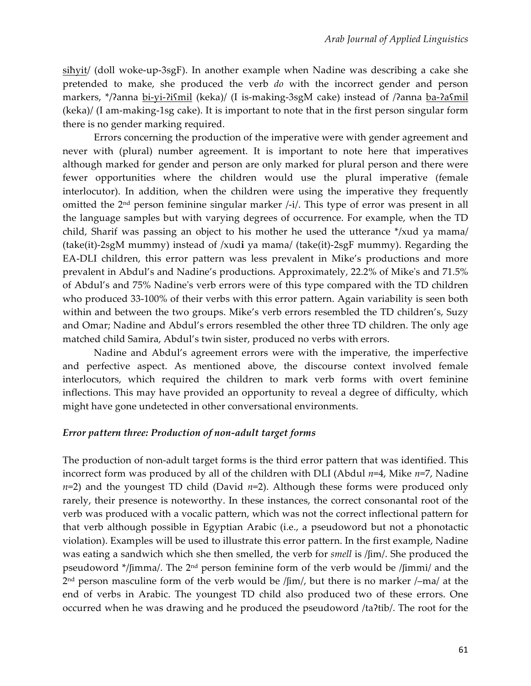siħyit/ (doll woke-up-3sgF). In another example when Nadine was describing a cake she pretended to make, she produced the verb *do* with the incorrect gender and person markers, \*/?anna bi-yi-ʔiʕmil (keka)/ (I is-making-3sgM cake) instead of /ʔanna ba-ʔaʕmil (keka)/ (I am-making-1sg cake). It is important to note that in the first person singular form there is no gender marking required.

Errors concerning the production of the imperative were with gender agreement and never with (plural) number agreement. It is important to note here that imperatives although marked for gender and person are only marked for plural person and there were fewer opportunities where the children would use the plural imperative (female interlocutor). In addition, when the children were using the imperative they frequently omitted the 2nd person feminine singular marker /-i/. This type of error was present in all the language samples but with varying degrees of occurrence. For example, when the TD child, Sharif was passing an object to his mother he used the utterance \*/xud ya mama/ (take(it)-2sgM mummy) instead of /xud**i** ya mama/ (take(it)-2sgF mummy). Regarding the EA-DLI children, this error pattern was less prevalent in Mike's productions and more prevalent in Abdul's and Nadine's productions. Approximately, 22.2% of Mike's and 71.5% of Abdul's and 75% Nadine's verb errors were of this type compared with the TD children who produced 33-100% of their verbs with this error pattern. Again variability is seen both within and between the two groups. Mike's verb errors resembled the TD children's, Suzy and Omar; Nadine and Abdul's errors resembled the other three TD children. The only age matched child Samira, Abdul's twin sister, produced no verbs with errors.

Nadine and Abdul's agreement errors were with the imperative, the imperfective and perfective aspect. As mentioned above, the discourse context involved female interlocutors, which required the children to mark verb forms with overt feminine inflections. This may have provided an opportunity to reveal a degree of difficulty, which might have gone undetected in other conversational environments.

## *Error pattern three: Production of non-adult target forms*

The production of non-adult target forms is the third error pattern that was identified. This incorrect form was produced by all of the children with DLI (Abdul *n*=4, Mike *n*=7, Nadine *n*=2) and the youngest TD child (David *n*=2). Although these forms were produced only rarely, their presence is noteworthy. In these instances, the correct consonantal root of the verb was produced with a vocalic pattern, which was not the correct inflectional pattern for that verb although possible in Egyptian Arabic (i.e., a pseudoword but not a phonotactic violation). Examples will be used to illustrate this error pattern. In the first example, Nadine was eating a sandwich which she then smelled, the verb for *smell* is /ʃim/. She produced the pseudoword \*/ʃimma/. The 2nd person feminine form of the verb would be /ʃimmi/ and the 2nd person masculine form of the verb would be /ʃim/, but there is no marker /–ma/ at the end of verbs in Arabic. The youngest TD child also produced two of these errors. One occurred when he was drawing and he produced the pseudoword /taʔtib/. The root for the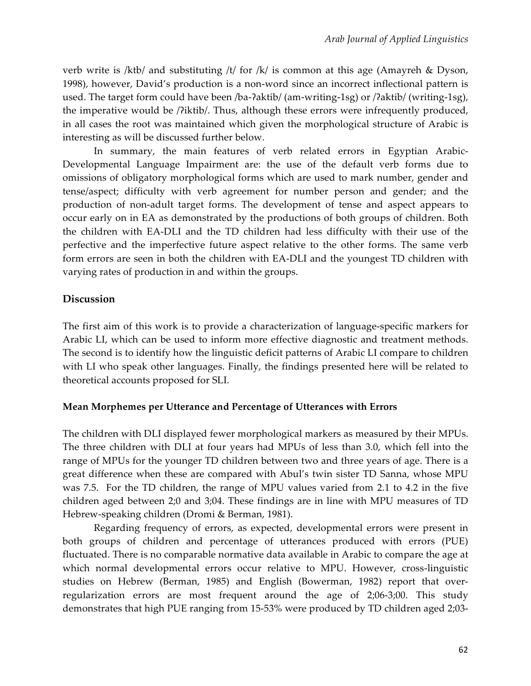verb write is /ktb/ and substituting /t/ for /k/ is common at this age (Amayreh & Dyson, 1998), however, David's production is a non-word since an incorrect inflectional pattern is used. The target form could have been /ba-ʔaktib/ (am-writing-1sg) or /ʔaktib/ (writing-1sg), the imperative would be /ʔiktib/. Thus, although these errors were infrequently produced, in all cases the root was maintained which given the morphological structure of Arabic is interesting as will be discussed further below.

In summary, the main features of verb related errors in Egyptian Arabic-Developmental Language Impairment are: the use of the default verb forms due to omissions of obligatory morphological forms which are used to mark number, gender and tense/aspect; difficulty with verb agreement for number person and gender; and the production of non-adult target forms. The development of tense and aspect appears to occur early on in EA as demonstrated by the productions of both groups of children. Both the children with EA-DLI and the TD children had less difficulty with their use of the perfective and the imperfective future aspect relative to the other forms. The same verb form errors are seen in both the children with EA-DLI and the youngest TD children with varying rates of production in and within the groups.

## **Discussion**

The first aim of this work is to provide a characterization of language-specific markers for Arabic LI, which can be used to inform more effective diagnostic and treatment methods. The second is to identify how the linguistic deficit patterns of Arabic LI compare to children with LI who speak other languages. Finally, the findings presented here will be related to theoretical accounts proposed for SLI.

## **Mean Morphemes per Utterance and Percentage of Utterances with Errors**

The children with DLI displayed fewer morphological markers as measured by their MPUs. The three children with DLI at four years had MPUs of less than 3.0, which fell into the range of MPUs for the younger TD children between two and three years of age. There is a great difference when these are compared with Abul's twin sister TD Sanna, whose MPU was 7.5. For the TD children, the range of MPU values varied from 2.1 to 4.2 in the five children aged between 2;0 and 3;04. These findings are in line with MPU measures of TD Hebrew-speaking children (Dromi & Berman, 1981).

Regarding frequency of errors, as expected, developmental errors were present in both groups of children and percentage of utterances produced with errors (PUE) fluctuated. There is no comparable normative data available in Arabic to compare the age at which normal developmental errors occur relative to MPU. However, cross-linguistic studies on Hebrew (Berman, 1985) and English (Bowerman, 1982) report that overregularization errors are most frequent around the age of 2;06-3;00. This study demonstrates that high PUE ranging from 15-53% were produced by TD children aged 2;03-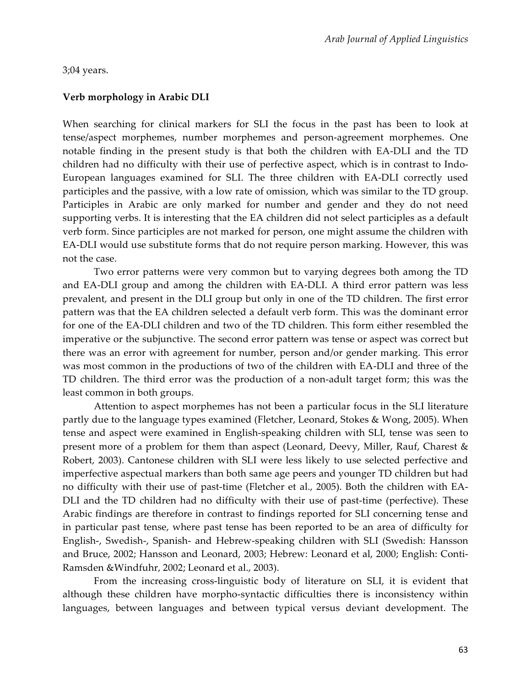#### 3;04 years.

#### **Verb morphology in Arabic DLI**

When searching for clinical markers for SLI the focus in the past has been to look at tense/aspect morphemes, number morphemes and person-agreement morphemes. One notable finding in the present study is that both the children with EA-DLI and the TD children had no difficulty with their use of perfective aspect, which is in contrast to Indo-European languages examined for SLI. The three children with EA-DLI correctly used participles and the passive, with a low rate of omission, which was similar to the TD group. Participles in Arabic are only marked for number and gender and they do not need supporting verbs. It is interesting that the EA children did not select participles as a default verb form. Since participles are not marked for person, one might assume the children with EA-DLI would use substitute forms that do not require person marking. However, this was not the case.

Two error patterns were very common but to varying degrees both among the TD and EA-DLI group and among the children with EA-DLI. A third error pattern was less prevalent, and present in the DLI group but only in one of the TD children. The first error pattern was that the EA children selected a default verb form. This was the dominant error for one of the EA-DLI children and two of the TD children. This form either resembled the imperative or the subjunctive. The second error pattern was tense or aspect was correct but there was an error with agreement for number, person and/or gender marking. This error was most common in the productions of two of the children with EA-DLI and three of the TD children. The third error was the production of a non-adult target form; this was the least common in both groups.

Attention to aspect morphemes has not been a particular focus in the SLI literature partly due to the language types examined (Fletcher, Leonard, Stokes & Wong, 2005). When tense and aspect were examined in English-speaking children with SLI, tense was seen to present more of a problem for them than aspect (Leonard, Deevy, Miller, Rauf, Charest & Robert, 2003). Cantonese children with SLI were less likely to use selected perfective and imperfective aspectual markers than both same age peers and younger TD children but had no difficulty with their use of past-time (Fletcher et al., 2005). Both the children with EA-DLI and the TD children had no difficulty with their use of past-time (perfective). These Arabic findings are therefore in contrast to findings reported for SLI concerning tense and in particular past tense, where past tense has been reported to be an area of difficulty for English-, Swedish-, Spanish- and Hebrew-speaking children with SLI (Swedish: Hansson and Bruce, 2002; Hansson and Leonard, 2003; Hebrew: Leonard et al, 2000; English: Conti-Ramsden &Windfuhr, 2002; Leonard et al., 2003).

From the increasing cross-linguistic body of literature on SLI, it is evident that although these children have morpho-syntactic difficulties there is inconsistency within languages, between languages and between typical versus deviant development. The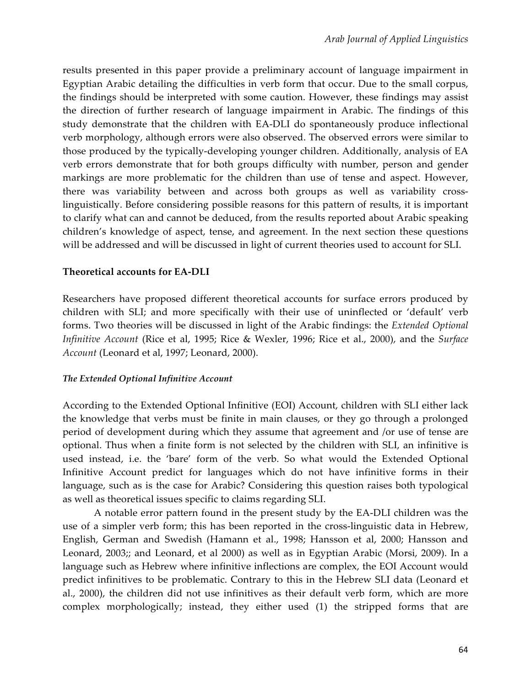results presented in this paper provide a preliminary account of language impairment in Egyptian Arabic detailing the difficulties in verb form that occur. Due to the small corpus, the findings should be interpreted with some caution. However, these findings may assist the direction of further research of language impairment in Arabic. The findings of this study demonstrate that the children with EA-DLI do spontaneously produce inflectional verb morphology, although errors were also observed. The observed errors were similar to those produced by the typically-developing younger children. Additionally, analysis of EA verb errors demonstrate that for both groups difficulty with number, person and gender markings are more problematic for the children than use of tense and aspect. However, there was variability between and across both groups as well as variability crosslinguistically. Before considering possible reasons for this pattern of results, it is important to clarify what can and cannot be deduced, from the results reported about Arabic speaking children's knowledge of aspect, tense, and agreement. In the next section these questions will be addressed and will be discussed in light of current theories used to account for SLI.

#### **Theoretical accounts for EA-DLI**

Researchers have proposed different theoretical accounts for surface errors produced by children with SLI; and more specifically with their use of uninflected or 'default' verb forms. Two theories will be discussed in light of the Arabic findings: the *Extended Optional Infinitive Account* (Rice et al, 1995; Rice & Wexler, 1996; Rice et al., 2000), and the *Surface Account* (Leonard et al, 1997; Leonard, 2000).

#### *The Extended Optional Infinitive Account*

According to the Extended Optional Infinitive (EOI) Account, children with SLI either lack the knowledge that verbs must be finite in main clauses, or they go through a prolonged period of development during which they assume that agreement and /or use of tense are optional. Thus when a finite form is not selected by the children with SLI, an infinitive is used instead, i.e. the 'bare' form of the verb. So what would the Extended Optional Infinitive Account predict for languages which do not have infinitive forms in their language, such as is the case for Arabic? Considering this question raises both typological as well as theoretical issues specific to claims regarding SLI.

A notable error pattern found in the present study by the EA-DLI children was the use of a simpler verb form; this has been reported in the cross-linguistic data in Hebrew, English, German and Swedish (Hamann et al., 1998; Hansson et al, 2000; Hansson and Leonard, 2003;; and Leonard, et al 2000) as well as in Egyptian Arabic (Morsi, 2009). In a language such as Hebrew where infinitive inflections are complex, the EOI Account would predict infinitives to be problematic. Contrary to this in the Hebrew SLI data (Leonard et al., 2000), the children did not use infinitives as their default verb form, which are more complex morphologically; instead, they either used (1) the stripped forms that are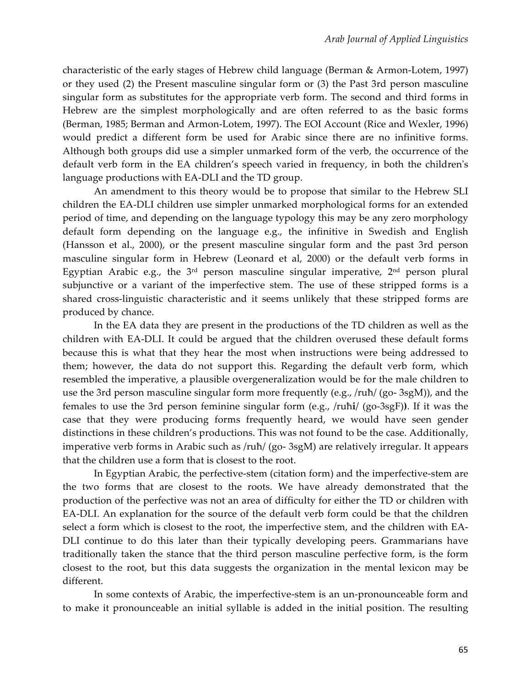characteristic of the early stages of Hebrew child language (Berman & Armon-Lotem, 1997) or they used (2) the Present masculine singular form or (3) the Past 3rd person masculine singular form as substitutes for the appropriate verb form. The second and third forms in Hebrew are the simplest morphologically and are often referred to as the basic forms (Berman, 1985; Berman and Armon-Lotem, 1997). The EOI Account (Rice and Wexler, 1996) would predict a different form be used for Arabic since there are no infinitive forms. Although both groups did use a simpler unmarked form of the verb, the occurrence of the default verb form in the EA children's speech varied in frequency, in both the children's language productions with EA-DLI and the TD group.

An amendment to this theory would be to propose that similar to the Hebrew SLI children the EA-DLI children use simpler unmarked morphological forms for an extended period of time, and depending on the language typology this may be any zero morphology default form depending on the language e.g., the infinitive in Swedish and English (Hansson et al., 2000), or the present masculine singular form and the past 3rd person masculine singular form in Hebrew (Leonard et al, 2000) or the default verb forms in Egyptian Arabic e.g., the  $3<sup>rd</sup>$  person masculine singular imperative,  $2<sup>nd</sup>$  person plural subjunctive or a variant of the imperfective stem. The use of these stripped forms is a shared cross-linguistic characteristic and it seems unlikely that these stripped forms are produced by chance.

In the EA data they are present in the productions of the TD children as well as the children with EA-DLI. It could be argued that the children overused these default forms because this is what that they hear the most when instructions were being addressed to them; however, the data do not support this. Regarding the default verb form, which resembled the imperative, a plausible overgeneralization would be for the male children to use the 3rd person masculine singular form more frequently (e.g., /ruħ/ (go- 3sgM)), and the females to use the 3rd person feminine singular form (e.g., /ruħ**i**/ (go-3sgF)**)**. If it was the case that they were producing forms frequently heard, we would have seen gender distinctions in these children's productions. This was not found to be the case. Additionally, imperative verb forms in Arabic such as /ruħ/ (go- 3sgM) are relatively irregular. It appears that the children use a form that is closest to the root.

In Egyptian Arabic, the perfective-stem (citation form) and the imperfective-stem are the two forms that are closest to the roots. We have already demonstrated that the production of the perfective was not an area of difficulty for either the TD or children with EA-DLI. An explanation for the source of the default verb form could be that the children select a form which is closest to the root, the imperfective stem, and the children with EA-DLI continue to do this later than their typically developing peers. Grammarians have traditionally taken the stance that the third person masculine perfective form, is the form closest to the root, but this data suggests the organization in the mental lexicon may be different.

In some contexts of Arabic, the imperfective-stem is an un-pronounceable form and to make it pronounceable an initial syllable is added in the initial position. The resulting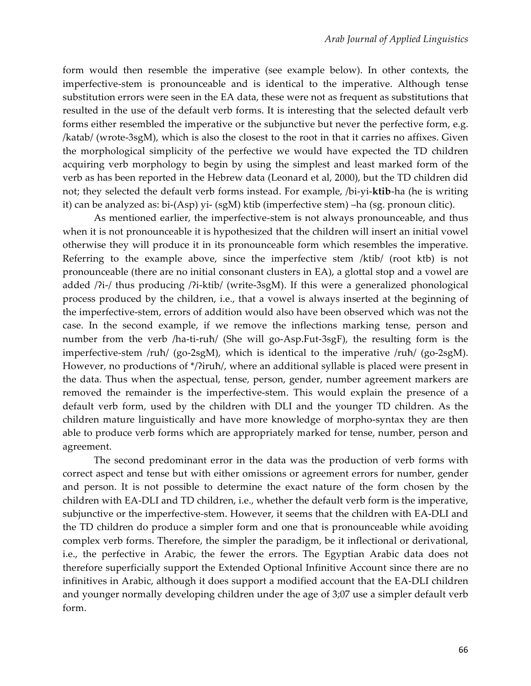form would then resemble the imperative (see example below). In other contexts, the imperfective-stem is pronounceable and is identical to the imperative. Although tense substitution errors were seen in the EA data, these were not as frequent as substitutions that resulted in the use of the default verb forms. It is interesting that the selected default verb forms either resembled the imperative or the subjunctive but never the perfective form, e.g. /katab/ (wrote-3sgM), which is also the closest to the root in that it carries no affixes. Given the morphological simplicity of the perfective we would have expected the TD children acquiring verb morphology to begin by using the simplest and least marked form of the verb as has been reported in the Hebrew data (Leonard et al, 2000), but the TD children did not; they selected the default verb forms instead. For example, /bi-yi-**ktib**-ha (he is writing it) can be analyzed as: bi-(Asp) yi- (sgM) ktib (imperfective stem) –ha (sg. pronoun clitic).

As mentioned earlier, the imperfective-stem is not always pronounceable, and thus when it is not pronounceable it is hypothesized that the children will insert an initial vowel otherwise they will produce it in its pronounceable form which resembles the imperative. Referring to the example above, since the imperfective stem /ktib/ (root ktb) is not pronounceable (there are no initial consonant clusters in EA), a glottal stop and a vowel are added /ʔi-/ thus producing /ʔi-ktib/ (write-3sgM). If this were a generalized phonological process produced by the children, i.e., that a vowel is always inserted at the beginning of the imperfective-stem, errors of addition would also have been observed which was not the case. In the second example, if we remove the inflections marking tense, person and number from the verb /ha-ti-ruħ/ (She will go-Asp.Fut-3sgF), the resulting form is the imperfective-stem /ruħ/ (go-2sgM), which is identical to the imperative /ruħ/ (go-2sgM). However, no productions of \*/?iruħ/, where an additional syllable is placed were present in the data. Thus when the aspectual, tense, person, gender, number agreement markers are removed the remainder is the imperfective-stem. This would explain the presence of a default verb form, used by the children with DLI and the younger TD children. As the children mature linguistically and have more knowledge of morpho-syntax they are then able to produce verb forms which are appropriately marked for tense, number, person and agreement.

The second predominant error in the data was the production of verb forms with correct aspect and tense but with either omissions or agreement errors for number, gender and person. It is not possible to determine the exact nature of the form chosen by the children with EA-DLI and TD children, i.e., whether the default verb form is the imperative, subjunctive or the imperfective-stem. However, it seems that the children with EA-DLI and the TD children do produce a simpler form and one that is pronounceable while avoiding complex verb forms. Therefore, the simpler the paradigm, be it inflectional or derivational, i.e., the perfective in Arabic, the fewer the errors. The Egyptian Arabic data does not therefore superficially support the Extended Optional Infinitive Account since there are no infinitives in Arabic, although it does support a modified account that the EA-DLI children and younger normally developing children under the age of 3;07 use a simpler default verb form.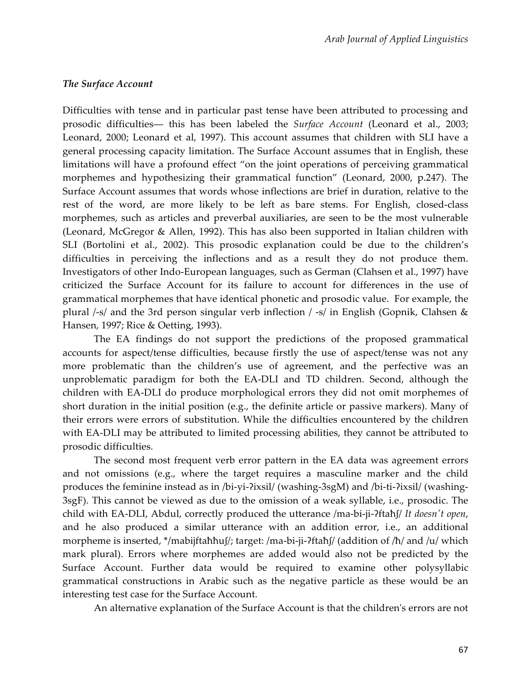#### *The Surface Account*

Difficulties with tense and in particular past tense have been attributed to processing and prosodic difficulties― this has been labeled the *Surface Account* (Leonard et al., 2003; Leonard, 2000; Leonard et al, 1997). This account assumes that children with SLI have a general processing capacity limitation. The Surface Account assumes that in English, these limitations will have a profound effect "on the joint operations of perceiving grammatical morphemes and hypothesizing their grammatical function" (Leonard, 2000, p.247). The Surface Account assumes that words whose inflections are brief in duration, relative to the rest of the word, are more likely to be left as bare stems. For English, closed-class morphemes, such as articles and preverbal auxiliaries, are seen to be the most vulnerable (Leonard, McGregor & Allen, 1992). This has also been supported in Italian children with SLI (Bortolini et al., 2002). This prosodic explanation could be due to the children's difficulties in perceiving the inflections and as a result they do not produce them. Investigators of other Indo-European languages, such as German (Clahsen et al., 1997) have criticized the Surface Account for its failure to account for differences in the use of grammatical morphemes that have identical phonetic and prosodic value. For example, the plural /-s/ and the 3rd person singular verb inflection / -s/ in English (Gopnik, Clahsen & Hansen, 1997; Rice & Oetting, 1993).

The EA findings do not support the predictions of the proposed grammatical accounts for aspect/tense difficulties, because firstly the use of aspect/tense was not any more problematic than the children's use of agreement, and the perfective was an unproblematic paradigm for both the EA-DLI and TD children. Second, although the children with EA-DLI do produce morphological errors they did not omit morphemes of short duration in the initial position (e.g., the definite article or passive markers). Many of their errors were errors of substitution. While the difficulties encountered by the children with EA-DLI may be attributed to limited processing abilities, they cannot be attributed to prosodic difficulties.

The second most frequent verb error pattern in the EA data was agreement errors and not omissions (e.g., where the target requires a masculine marker and the child produces the feminine instead as in /bi-yi-ʔixsil/ (washing-3sgM) and /bi-ti-ʔixsil/ (washing-3sgF). This cannot be viewed as due to the omission of a weak syllable, i.e., prosodic. The child with EA-DLI, Abdul, correctly produced the utterance /ma-bi-ji-ʔftaħ∫/ *It doesn't open*, and he also produced a similar utterance with an addition error, i.e., an additional morpheme is inserted, \*/mabijftaħħu∫/; target: /ma-bi-ji-ʔftaħ∫/ (addition of /ħ/ and /u/ which mark plural). Errors where morphemes are added would also not be predicted by the Surface Account. Further data would be required to examine other polysyllabic grammatical constructions in Arabic such as the negative particle as these would be an interesting test case for the Surface Account.

An alternative explanation of the Surface Account is that the children's errors are not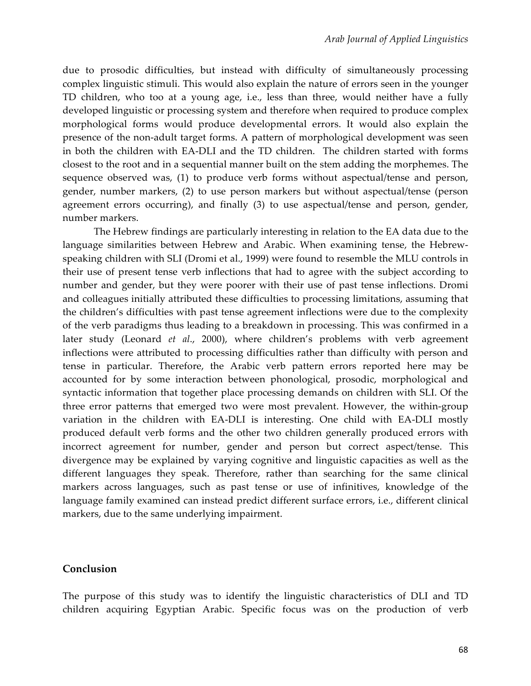due to prosodic difficulties, but instead with difficulty of simultaneously processing complex linguistic stimuli. This would also explain the nature of errors seen in the younger TD children, who too at a young age, i.e., less than three, would neither have a fully developed linguistic or processing system and therefore when required to produce complex morphological forms would produce developmental errors. It would also explain the presence of the non-adult target forms. A pattern of morphological development was seen in both the children with EA-DLI and the TD children. The children started with forms closest to the root and in a sequential manner built on the stem adding the morphemes. The sequence observed was, (1) to produce verb forms without aspectual/tense and person, gender, number markers, (2) to use person markers but without aspectual/tense (person agreement errors occurring), and finally (3) to use aspectual/tense and person, gender, number markers.

The Hebrew findings are particularly interesting in relation to the EA data due to the language similarities between Hebrew and Arabic. When examining tense, the Hebrewspeaking children with SLI (Dromi et al., 1999) were found to resemble the MLU controls in their use of present tense verb inflections that had to agree with the subject according to number and gender, but they were poorer with their use of past tense inflections. Dromi and colleagues initially attributed these difficulties to processing limitations, assuming that the children's difficulties with past tense agreement inflections were due to the complexity of the verb paradigms thus leading to a breakdown in processing. This was confirmed in a later study (Leonard *et al*., 2000), where children's problems with verb agreement inflections were attributed to processing difficulties rather than difficulty with person and tense in particular. Therefore, the Arabic verb pattern errors reported here may be accounted for by some interaction between phonological, prosodic, morphological and syntactic information that together place processing demands on children with SLI. Of the three error patterns that emerged two were most prevalent. However, the within-group variation in the children with EA-DLI is interesting. One child with EA-DLI mostly produced default verb forms and the other two children generally produced errors with incorrect agreement for number, gender and person but correct aspect/tense. This divergence may be explained by varying cognitive and linguistic capacities as well as the different languages they speak. Therefore, rather than searching for the same clinical markers across languages, such as past tense or use of infinitives, knowledge of the language family examined can instead predict different surface errors, i.e., different clinical markers, due to the same underlying impairment.

## **Conclusion**

The purpose of this study was to identify the linguistic characteristics of DLI and TD children acquiring Egyptian Arabic. Specific focus was on the production of verb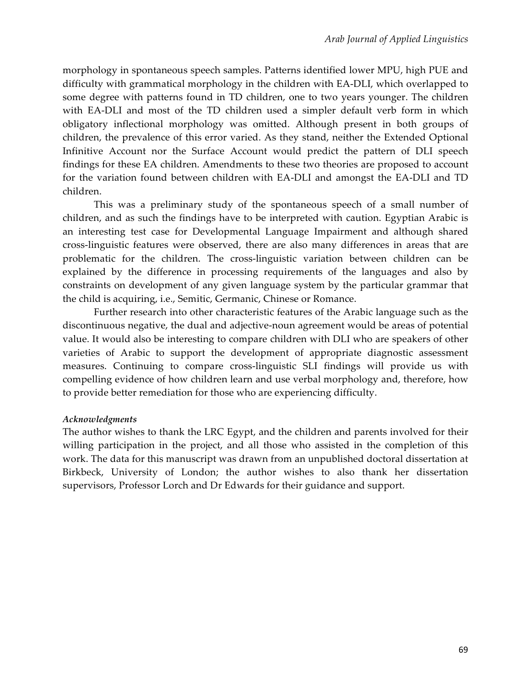morphology in spontaneous speech samples. Patterns identified lower MPU, high PUE and difficulty with grammatical morphology in the children with EA-DLI, which overlapped to some degree with patterns found in TD children, one to two years younger. The children with EA-DLI and most of the TD children used a simpler default verb form in which obligatory inflectional morphology was omitted. Although present in both groups of children, the prevalence of this error varied. As they stand, neither the Extended Optional Infinitive Account nor the Surface Account would predict the pattern of DLI speech findings for these EA children. Amendments to these two theories are proposed to account for the variation found between children with EA-DLI and amongst the EA-DLI and TD children.

This was a preliminary study of the spontaneous speech of a small number of children, and as such the findings have to be interpreted with caution. Egyptian Arabic is an interesting test case for Developmental Language Impairment and although shared cross-linguistic features were observed, there are also many differences in areas that are problematic for the children. The cross-linguistic variation between children can be explained by the difference in processing requirements of the languages and also by constraints on development of any given language system by the particular grammar that the child is acquiring, i.e., Semitic, Germanic, Chinese or Romance.

Further research into other characteristic features of the Arabic language such as the discontinuous negative, the dual and adjective-noun agreement would be areas of potential value. It would also be interesting to compare children with DLI who are speakers of other varieties of Arabic to support the development of appropriate diagnostic assessment measures. Continuing to compare cross-linguistic SLI findings will provide us with compelling evidence of how children learn and use verbal morphology and, therefore, how to provide better remediation for those who are experiencing difficulty.

#### *Acknowledgments*

The author wishes to thank the LRC Egypt, and the children and parents involved for their willing participation in the project, and all those who assisted in the completion of this work. The data for this manuscript was drawn from an unpublished doctoral dissertation at Birkbeck, University of London; the author wishes to also thank her dissertation supervisors, Professor Lorch and Dr Edwards for their guidance and support.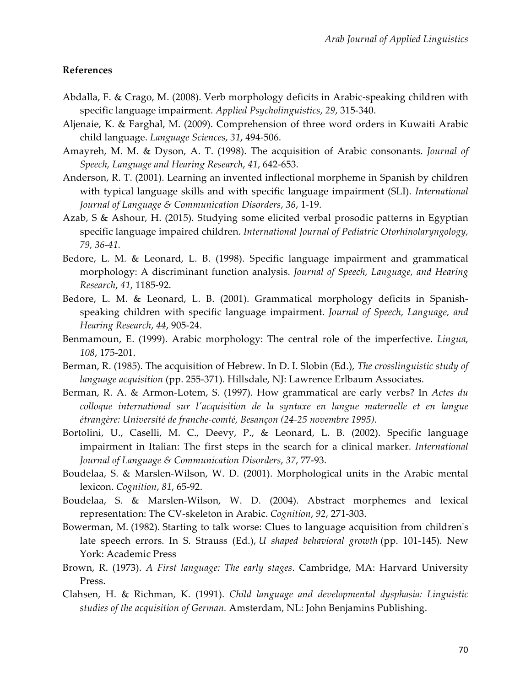#### **References**

- Abdalla, F. & Crago, M. (2008). Verb morphology deficits in Arabic-speaking children with specific language impairment. *Applied Psycholinguistics*, *29*, 315-340.
- Aljenaie, K. & Farghal, M. (2009). Comprehension of three word orders in Kuwaiti Arabic child language. *Language Sciences*, *31*, 494-506.
- Amayreh, M. M. & Dyson, A. T. (1998). The acquisition of Arabic consonants. *Journal of Speech, Language and Hearing Research*, *41*, 642-653.
- Anderson, R. T. (2001). Learning an invented inflectional morpheme in Spanish by children with typical language skills and with specific language impairment (SLI). *International Journal of Language & Communication Disorders*, *36*, 1-19.
- Azab, S & Ashour, H. (2015). Studying some elicited verbal prosodic patterns in Egyptian specific language impaired children. *International Journal of Pediatric Otorhinolaryngology, 79, 36-41.*
- Bedore, L. M. & Leonard, L. B. (1998). Specific language impairment and grammatical morphology: A discriminant function analysis. *Journal of Speech, Language, and Hearing Research*, *41*, 1185-92.
- Bedore, L. M. & Leonard, L. B. (2001). Grammatical morphology deficits in Spanishspeaking children with specific language impairment. *Journal of Speech, Language, and Hearing Research*, *44*, 905-24.
- Benmamoun, E. (1999). Arabic morphology: The central role of the imperfective. *Lingua*, *108*, 175-201.
- Berman, R. (1985). The acquisition of Hebrew. In D. I. Slobin (Ed.), *The crosslinguistic study of language acquisition* (pp. 255-371)*.* Hillsdale, NJ: Lawrence Erlbaum Associates.
- Berman, R. A. & Armon-Lotem, S. (1997). How grammatical are early verbs? In *Actes du colloque international sur l'acquisition de la syntaxe en langue maternelle et en langue étrangère: Université de franche-comté, Besançon (24-25 novembre 1995).*
- Bortolini, U., Caselli, M. C., Deevy, P., & Leonard, L. B. (2002). Specific language impairment in Italian: The first steps in the search for a clinical marker. *International Journal of Language & Communication Disorders*, *37*, 77-93.
- Boudelaa, S. & Marslen-Wilson, W. D. (2001). Morphological units in the Arabic mental lexicon. *Cognition*, *81*, 65-92.
- Boudelaa, S. & Marslen-Wilson, W. D. (2004). Abstract morphemes and lexical representation: The CV-skeleton in Arabic. *Cognition*, *92*, 271-303.
- Bowerman, M. (1982). Starting to talk worse: Clues to language acquisition from children's late speech errors. In S. Strauss (Ed.), *U shaped behavioral growth* (pp. 101-145). New York: Academic Press
- Brown, R. (1973). *A First language: The early stages*. Cambridge, MA: Harvard University Press.
- Clahsen, H. & Richman, K. (1991). *Child language and developmental dysphasia: Linguistic studies of the acquisition of German.* Amsterdam, NL: John Benjamins Publishing.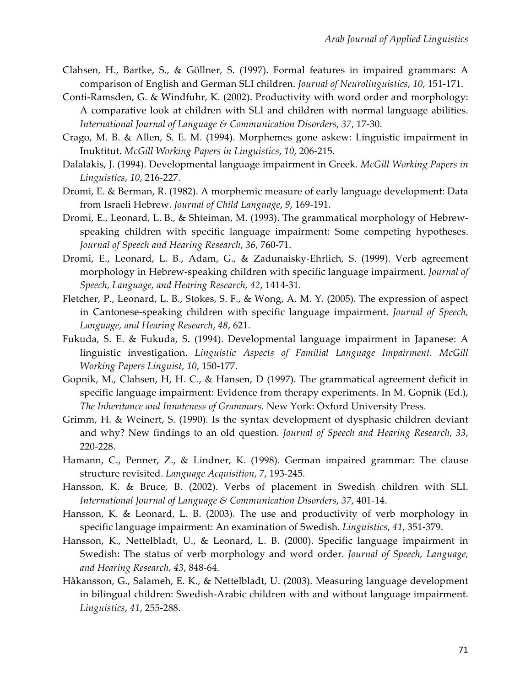- Clahsen, H., Bartke, S., & Göllner, S. (1997). Formal features in impaired grammars: A comparison of English and German SLI children. *Journal of Neurolinguistics*, *10*, 151-171.
- Conti-Ramsden, G. & Windfuhr, K. (2002). Productivity with word order and morphology: A comparative look at children with SLI and children with normal language abilities. *International Journal of Language & Communication Disorders*, *37*, 17-30.
- Crago, M. B. & Allen, S. E. M. (1994). Morphemes gone askew: Linguistic impairment in Inuktitut. *McGill Working Papers in Linguistics*, *10*, 206-215.
- Dalalakis, J. (1994). Developmental language impairment in Greek. *McGill Working Papers in Linguistics*, *10*, 216-227.
- Dromi, E. & Berman, R. (1982). A morphemic measure of early language development: Data from Israeli Hebrew. *Journal of Child Language*, *9*, 169-191.
- Dromi, E., Leonard, L. B., & Shteiman, M. (1993). The grammatical morphology of Hebrewspeaking children with specific language impairment: Some competing hypotheses. *Journal of Speech and Hearing Research*, *36*, 760-71.
- Dromi, E., Leonard, L. B., Adam, G., & Zadunaisky-Ehrlich, S. (1999). Verb agreement morphology in Hebrew-speaking children with specific language impairment. *Journal of Speech, Language, and Hearing Research, 42*, 1414-31.
- Fletcher, P., Leonard, L. B., Stokes, S. F., & Wong, A. M. Y. (2005). The expression of aspect in Cantonese-speaking children with specific language impairment. *Journal of Speech, Language, and Hearing Research*, *48*, 621.
- Fukuda, S. E. & Fukuda, S. (1994). Developmental language impairment in Japanese: A linguistic investigation. *Linguistic Aspects of Familial Language Impairment. McGill Working Papers Linguist*, *10*, 150-177.
- Gopnik, M., Clahsen, H, H. C., & Hansen, D (1997). The grammatical agreement deficit in specific language impairment: Evidence from therapy experiments. In M. Gopnik (Ed.), *The Inheritance and Innateness of Grammars.* New York: Oxford University Press.
- Grimm, H. & Weinert, S. (1990). Is the syntax development of dysphasic children deviant and why? New findings to an old question. *Journal of Speech and Hearing Research*, *33*, 220-228.
- Hamann, C., Penner, Z., & Lindner, K. (1998). German impaired grammar: The clause structure revisited. *Language Acquisition*, *7*, 193-245.
- Hansson, K. & Bruce, B. (2002). Verbs of placement in Swedish children with SLI. *International Journal of Language & Communication Disorders*, *37*, 401-14.
- Hansson, K. & Leonard, L. B. (2003). The use and productivity of verb morphology in specific language impairment: An examination of Swedish. *Linguistics*, *41*, 351-379.
- Hansson, K., Nettelbladt, U., & Leonard, L. B. (2000). Specific language impairment in Swedish: The status of verb morphology and word order. *Journal of Speech, Language, and Hearing Research*, *43*, 848-64.
- Håkansson, G., Salameh, E. K., & Nettelbladt, U. (2003). Measuring language development in bilingual children: Swedish-Arabic children with and without language impairment. *Linguistics*, *41*, 255-288.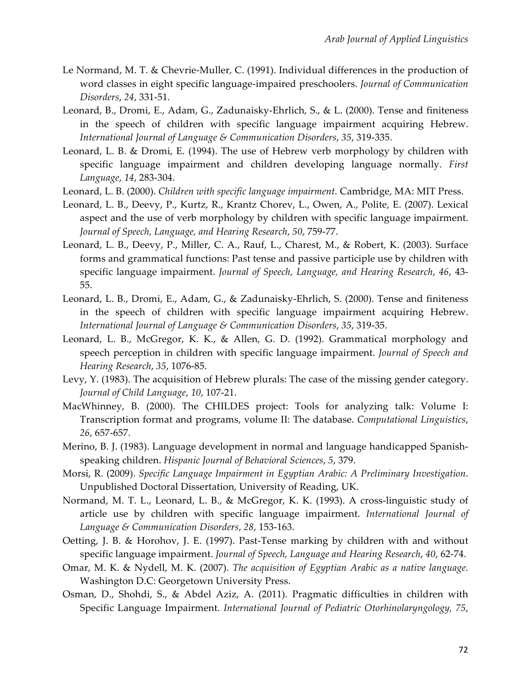- Le Normand, M. T. & Chevrie-Muller, C. (1991). Individual differences in the production of word classes in eight specific language-impaired preschoolers. *Journal of Communication Disorders*, *24*, 331-51.
- Leonard, B., Dromi, E., Adam, G., Zadunaisky-Ehrlich, S., & L. (2000). Tense and finiteness in the speech of children with specific language impairment acquiring Hebrew. *International Journal of Language & Communication Disorders*, *35*, 319-335.
- Leonard, L. B. & Dromi, E. (1994). The use of Hebrew verb morphology by children with specific language impairment and children developing language normally. *First Language*, *14*, 283-304.
- Leonard, L. B. (2000). *Children with specific language impairment.* Cambridge, MA: MIT Press.
- Leonard, L. B., Deevy, P., Kurtz, R., Krantz Chorev, L., Owen, A., Polite, E. (2007). Lexical aspect and the use of verb morphology by children with specific language impairment. *Journal of Speech, Language, and Hearing Research*, *50*, 759-77.
- Leonard, L. B., Deevy, P., Miller, C. A., Rauf, L., Charest, M., & Robert, K. (2003). Surface forms and grammatical functions: Past tense and passive participle use by children with specific language impairment. *Journal of Speech, Language, and Hearing Research*, *46*, 43- 55.
- Leonard, L. B., Dromi, E., Adam, G., & Zadunaisky-Ehrlich, S. (2000). Tense and finiteness in the speech of children with specific language impairment acquiring Hebrew. *International Journal of Language & Communication Disorders*, *35*, 319-35.
- Leonard, L. B., McGregor, K. K., & Allen, G. D. (1992). Grammatical morphology and speech perception in children with specific language impairment. *Journal of Speech and Hearing Research*, *35*, 1076-85.
- Levy, Y. (1983). The acquisition of Hebrew plurals: The case of the missing gender category. *Journal of Child Language*, *10*, 107-21.
- MacWhinney, B. (2000). The CHILDES project: Tools for analyzing talk: Volume I: Transcription format and programs, volume II: The database. *Computational Linguistics*, *26*, 657-657.
- Merino, B. J. (1983). Language development in normal and language handicapped Spanishspeaking children. *Hispanic Journal of Behavioral Sciences*, *5*, 379.
- Morsi, R. (2009). *Specific Language Impairment in Egyptian Arabic: A Preliminary Investigation*. Unpublished Doctoral Dissertation, University of Reading, UK.
- Normand, M. T. L., Leonard, L. B., & McGregor, K. K. (1993). A cross-linguistic study of article use by children with specific language impairment. *International Journal of Language & Communication Disorders*, *28*, 153-163.
- Oetting, J. B. & Horohov, J. E. (1997). Past-Tense marking by children with and without specific language impairment. *Journal of Speech, Language and Hearing Research*, *40*, 62-74.
- Omar, M. K. & Nydell, M. K. (2007). *The acquisition of Egyptian Arabic as a native language.*  Washington D.C: Georgetown University Press.
- Osman, D., Shohdi, S., & Abdel Aziz, A. (2011). Pragmatic difficulties in children with Specific Language Impairment. *International Journal of Pediatric Otorhinolaryngology, 75*,